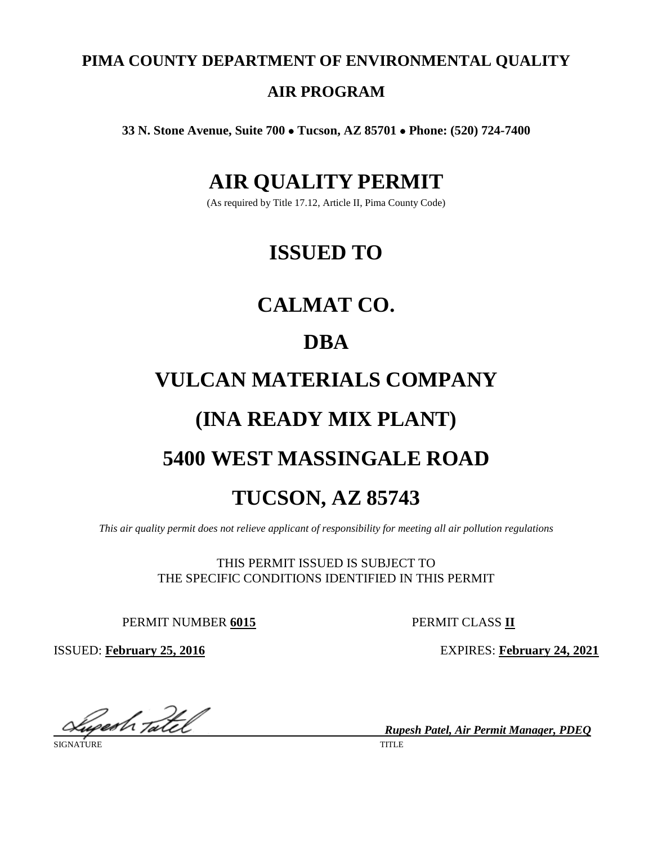**PIMA COUNTY DEPARTMENT OF ENVIRONMENTAL QUALITY**

# **AIR PROGRAM**

**33 N. Stone Avenue, Suite 700** • **Tucson, AZ 85701** • **Phone: (520) 724-7400**

# **AIR QUALITY PERMIT**

(As required by Title 17.12, Article II, Pima County Code)

# **ISSUED TO**

# **CALMAT CO.**

# **DBA**

# **VULCAN MATERIALS COMPANY**

# **(INA READY MIX PLANT)**

# **5400 WEST MASSINGALE ROAD**

# **TUCSON, AZ 85743**

*This air quality permit does not relieve applicant of responsibility for meeting all air pollution regulations*

THIS PERMIT ISSUED IS SUBJECT TO THE SPECIFIC CONDITIONS IDENTIFIED IN THIS PERMIT

PERMIT NUMBER **6015** PERMIT CLASS **II**

ISSUED: **February 25, 2016** EXPIRES: **February 24, 2021**

*Rupesh Patel, Air Permit Manager, PDEQ*

SIGNATURE TITLE THE SERVICE OF STREET AND TIME THAT IS A SERVICE OF STREET AND TIME THAT IS A SERVICE OF STREET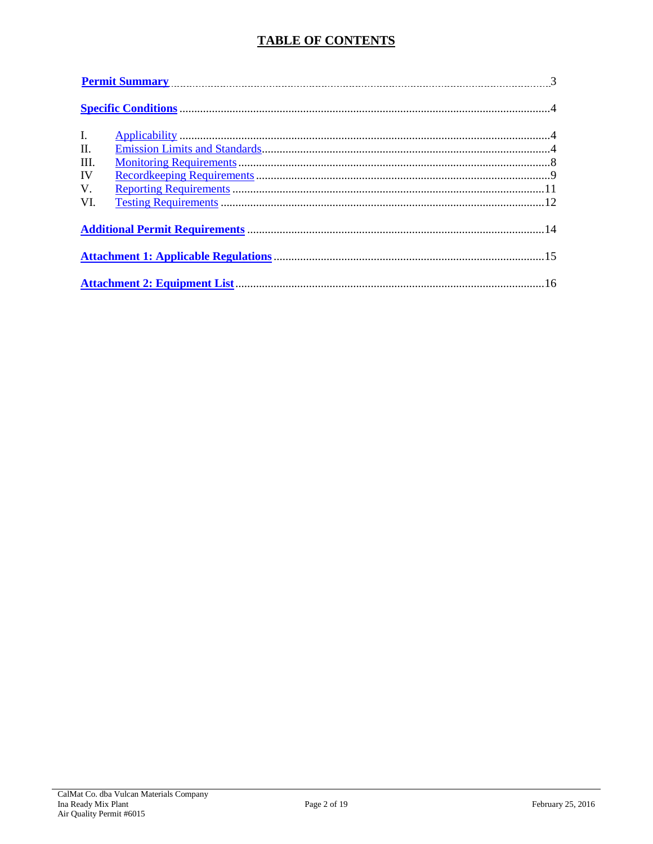# **TABLE OF CONTENTS**

|                | <u>Permit Summary</u> 23.25 and 3.25 and 3.25 and 3.25 and 3.25 and 3.25 and 3.25 and 3.25 and 3.25 and 3.25 and 3.25 and 3.25 and 3.25 and 3.25 and 3.25 and 3.25 and 3.25 and 3.25 and 3.25 and 3.25 and 3.25 and 3.25 and 3.25 a |  |  |  |  |
|----------------|-------------------------------------------------------------------------------------------------------------------------------------------------------------------------------------------------------------------------------------|--|--|--|--|
|                |                                                                                                                                                                                                                                     |  |  |  |  |
| $\mathbf{I}$ . |                                                                                                                                                                                                                                     |  |  |  |  |
| $\Pi$ .        |                                                                                                                                                                                                                                     |  |  |  |  |
| III.           |                                                                                                                                                                                                                                     |  |  |  |  |
| IV             |                                                                                                                                                                                                                                     |  |  |  |  |
| V.             |                                                                                                                                                                                                                                     |  |  |  |  |
| VI.            |                                                                                                                                                                                                                                     |  |  |  |  |
|                |                                                                                                                                                                                                                                     |  |  |  |  |
|                |                                                                                                                                                                                                                                     |  |  |  |  |
|                |                                                                                                                                                                                                                                     |  |  |  |  |
|                |                                                                                                                                                                                                                                     |  |  |  |  |
|                |                                                                                                                                                                                                                                     |  |  |  |  |
|                |                                                                                                                                                                                                                                     |  |  |  |  |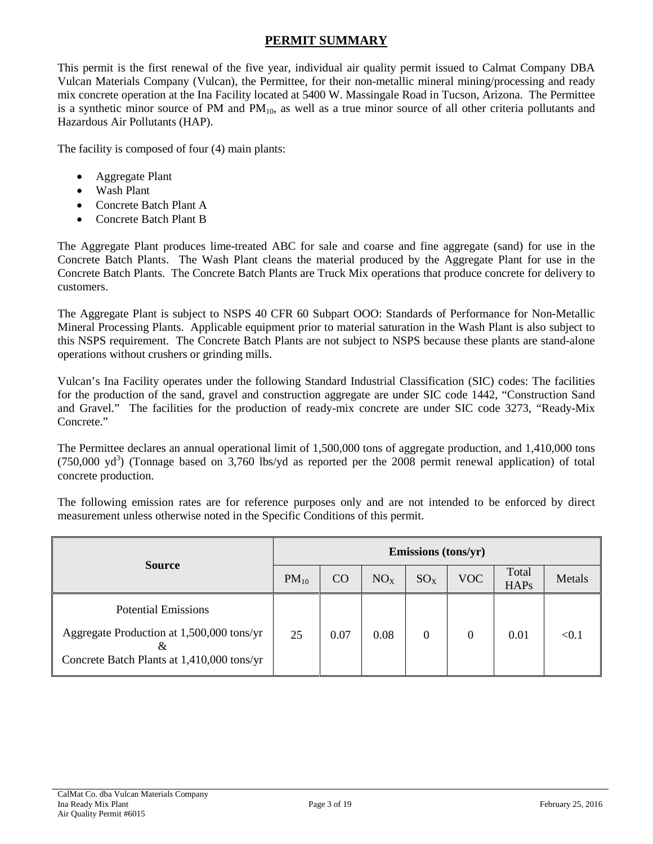# **PERMIT SUMMARY**

<span id="page-2-0"></span>This permit is the first renewal of the five year, individual air quality permit issued to Calmat Company DBA Vulcan Materials Company (Vulcan), the Permittee, for their non-metallic mineral mining/processing and ready mix concrete operation at the Ina Facility located at 5400 W. Massingale Road in Tucson, Arizona. The Permittee is a synthetic minor source of PM and  $PM_{10}$ , as well as a true minor source of all other criteria pollutants and Hazardous Air Pollutants (HAP).

The facility is composed of four (4) main plants:

- Aggregate Plant
- Wash Plant
- Concrete Batch Plant A
- Concrete Batch Plant B

The Aggregate Plant produces lime-treated ABC for sale and coarse and fine aggregate (sand) for use in the Concrete Batch Plants. The Wash Plant cleans the material produced by the Aggregate Plant for use in the Concrete Batch Plants. The Concrete Batch Plants are Truck Mix operations that produce concrete for delivery to customers.

The Aggregate Plant is subject to NSPS 40 CFR 60 Subpart OOO: Standards of Performance for Non-Metallic Mineral Processing Plants. Applicable equipment prior to material saturation in the Wash Plant is also subject to this NSPS requirement. The Concrete Batch Plants are not subject to NSPS because these plants are stand-alone operations without crushers or grinding mills.

Vulcan's Ina Facility operates under the following Standard Industrial Classification (SIC) codes: The facilities for the production of the sand, gravel and construction aggregate are under SIC code 1442, "Construction Sand and Gravel." The facilities for the production of ready-mix concrete are under SIC code 3273, "Ready-Mix Concrete."

The Permittee declares an annual operational limit of 1,500,000 tons of aggregate production, and 1,410,000 tons  $(750,000 \text{ yd}^3)$  (Tonnage based on 3,760 lbs/yd as reported per the 2008 permit renewal application) of total concrete production.

The following emission rates are for reference purposes only and are not intended to be enforced by direct measurement unless otherwise noted in the Specific Conditions of this permit.

|                                                                                              |           |      |                 | Emissions (tons/yr) |            |                      |        |
|----------------------------------------------------------------------------------------------|-----------|------|-----------------|---------------------|------------|----------------------|--------|
| <b>Source</b>                                                                                | $PM_{10}$ | CO   | NO <sub>X</sub> | $SO_{X}$            | <b>VOC</b> | Total<br><b>HAPs</b> | Metals |
| <b>Potential Emissions</b>                                                                   |           |      |                 |                     |            |                      |        |
| Aggregate Production at 1,500,000 tons/yr<br>&<br>Concrete Batch Plants at 1,410,000 tons/yr | 25        | 0.07 | 0.08            | 0                   | $\Omega$   | 0.01                 | < 0.1  |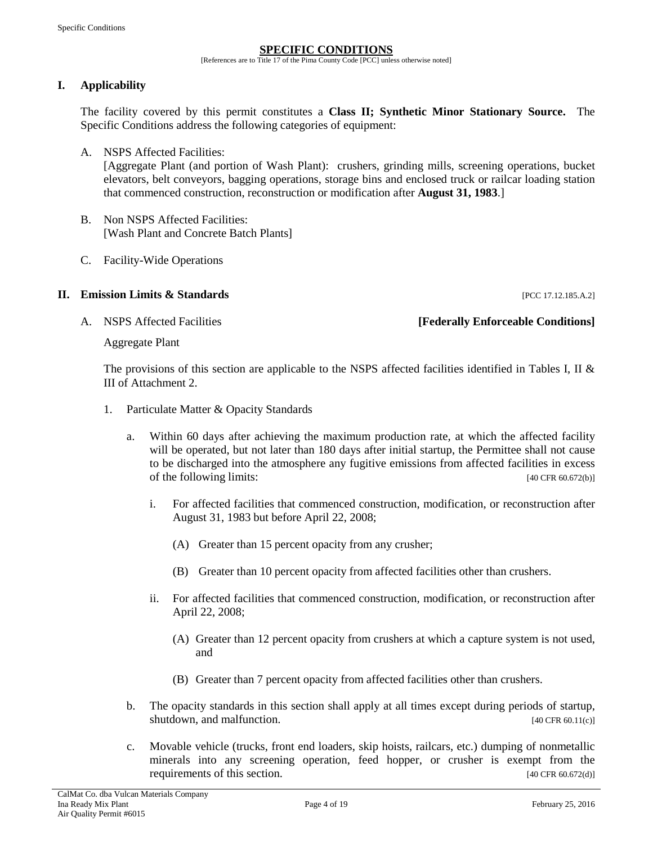#### **SPECIFIC CONDITIONS**

[References are to Title 17 of the Pima County Code [PCC] unless otherwise noted]

# <span id="page-3-1"></span><span id="page-3-0"></span>**I. Applicability**

The facility covered by this permit constitutes a **Class II; Synthetic Minor Stationary Source.** The Specific Conditions address the following categories of equipment:

A. NSPS Affected Facilities:

[Aggregate Plant (and portion of Wash Plant): crushers, grinding mills, screening operations, bucket elevators, belt conveyors, bagging operations, storage bins and enclosed truck or railcar loading station that commenced construction, reconstruction or modification after **August 31, 1983**.]

- B. Non NSPS Affected Facilities: [Wash Plant and Concrete Batch Plants]
- C. Facility-Wide Operations

#### <span id="page-3-2"></span>**II. Emission Limits & Standards II. The Standards Exercísion Limits & Standards Exercísion Exercísion Exercísion**

### A. NSPS Affected Facilities **[Federally Enforceable Conditions]**

Aggregate Plant

The provisions of this section are applicable to the NSPS affected facilities identified in Tables I, II & III of Attachment 2.

- 1. Particulate Matter & Opacity Standards
	- a. Within 60 days after achieving the maximum production rate, at which the affected facility will be operated, but not later than 180 days after initial startup, the Permittee shall not cause to be discharged into the atmosphere any fugitive emissions from affected facilities in excess of the following limits: [40 CFR 60.672(b)]
		- i. For affected facilities that commenced construction, modification, or reconstruction after August 31, 1983 but before April 22, 2008;
			- (A) Greater than 15 percent opacity from any crusher;
			- (B) Greater than 10 percent opacity from affected facilities other than crushers.
		- ii. For affected facilities that commenced construction, modification, or reconstruction after April 22, 2008;
			- (A) Greater than 12 percent opacity from crushers at which a capture system is not used, and
			- (B) Greater than 7 percent opacity from affected facilities other than crushers.
	- b. The opacity standards in this section shall apply at all times except during periods of startup, shutdown, and malfunction. [40 CFR 60.11(c)]
	- c. Movable vehicle (trucks, front end loaders, skip hoists, railcars, etc.) dumping of nonmetallic minerals into any screening operation, feed hopper, or crusher is exempt from the requirements of this section. [40 CFR 60.672(d)]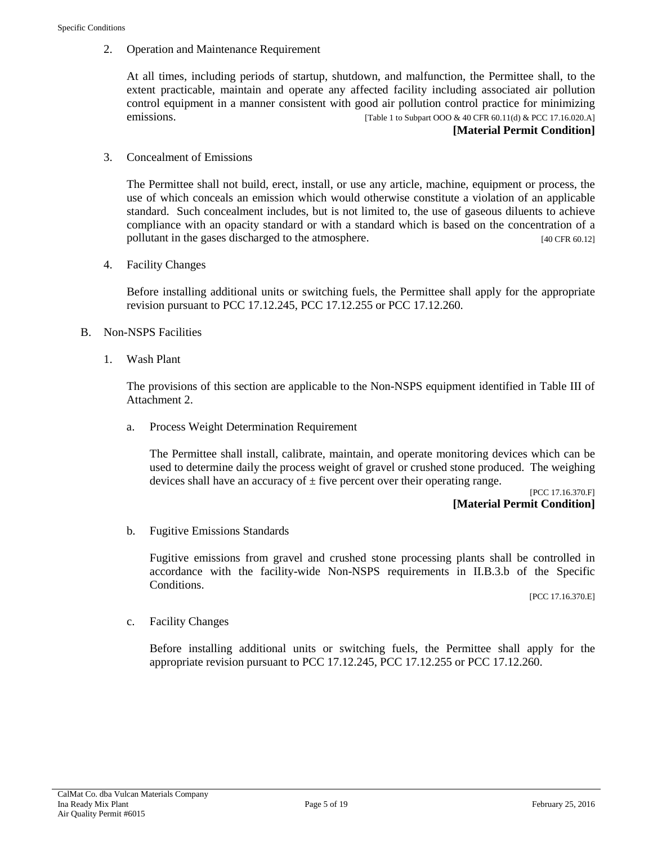2. Operation and Maintenance Requirement

At all times, including periods of startup, shutdown, and malfunction, the Permittee shall, to the extent practicable, maintain and operate any affected facility including associated air pollution control equipment in a manner consistent with good air pollution control practice for minimizing emissions. [Table 1 to Subpart OOO & 40 CFR 60.11(d) & PCC 17.16.020.A]

#### **[Material Permit Condition]**

3. Concealment of Emissions

The Permittee shall not build, erect, install, or use any article, machine, equipment or process, the use of which conceals an emission which would otherwise constitute a violation of an applicable standard. Such concealment includes, but is not limited to, the use of gaseous diluents to achieve compliance with an opacity standard or with a standard which is based on the concentration of a pollutant in the gases discharged to the atmosphere. [40 CFR 60.12]

4. Facility Changes

Before installing additional units or switching fuels, the Permittee shall apply for the appropriate revision pursuant to PCC 17.12.245, PCC 17.12.255 or PCC 17.12.260.

- B. Non-NSPS Facilities
	- 1. Wash Plant

The provisions of this section are applicable to the Non-NSPS equipment identified in Table III of Attachment 2.

a. Process Weight Determination Requirement

The Permittee shall install, calibrate, maintain, and operate monitoring devices which can be used to determine daily the process weight of gravel or crushed stone produced. The weighing devices shall have an accuracy of  $\pm$  five percent over their operating range.

> [PCC 17.16.370.F] **[Material Permit Condition]**

b. Fugitive Emissions Standards

Fugitive emissions from gravel and crushed stone processing plants shall be controlled in accordance with the facility-wide Non-NSPS requirements in II.B.3.b of the Specific Conditions.

[PCC 17.16.370.E]

c. Facility Changes

Before installing additional units or switching fuels, the Permittee shall apply for the appropriate revision pursuant to PCC 17.12.245, PCC 17.12.255 or PCC 17.12.260.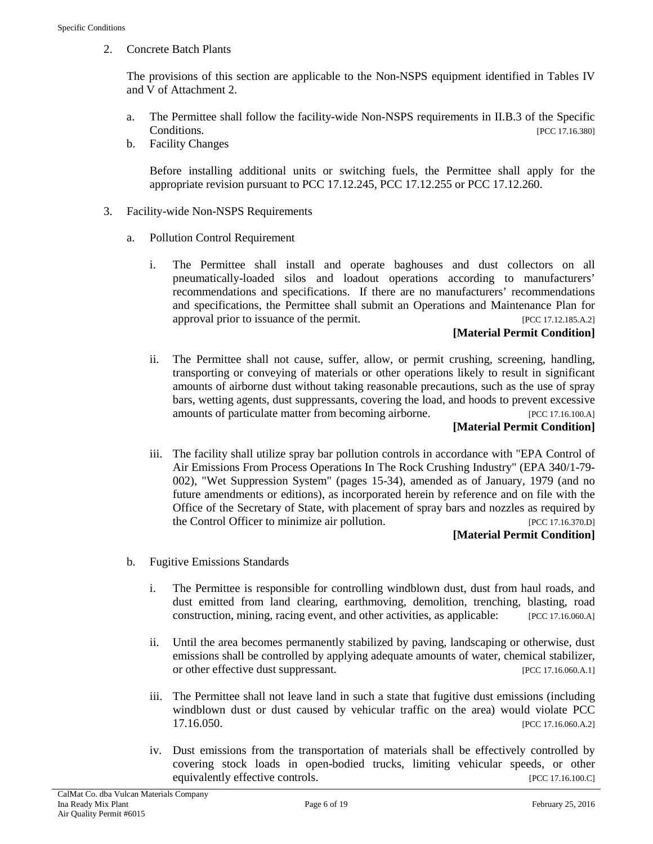2. Concrete Batch Plants

The provisions of this section are applicable to the Non-NSPS equipment identified in Tables IV and V of Attachment 2.

- a. The Permittee shall follow the facility-wide Non-NSPS requirements in II.B.3 of the Specific Conditions. [PCC 17.16.380]
- b. Facility Changes

Before installing additional units or switching fuels, the Permittee shall apply for the appropriate revision pursuant to PCC 17.12.245, PCC 17.12.255 or PCC 17.12.260.

- 3. Facility-wide Non-NSPS Requirements
	- a. Pollution Control Requirement
		- i. The Permittee shall install and operate baghouses and dust collectors on all pneumatically-loaded silos and loadout operations according to manufacturers' recommendations and specifications. If there are no manufacturers' recommendations and specifications, the Permittee shall submit an Operations and Maintenance Plan for approval prior to issuance of the permit. [PCC 17.12.185.A.2]

#### **[Material Permit Condition]**

ii. The Permittee shall not cause, suffer, allow, or permit crushing, screening, handling, transporting or conveying of materials or other operations likely to result in significant amounts of airborne dust without taking reasonable precautions, such as the use of spray bars, wetting agents, dust suppressants, covering the load, and hoods to prevent excessive amounts of particulate matter from becoming airborne. [PCC 17.16.100.A]

### **[Material Permit Condition]**

iii. The facility shall utilize spray bar pollution controls in accordance with "EPA Control of Air Emissions From Process Operations In The Rock Crushing Industry" (EPA 340/1-79- 002), "Wet Suppression System" (pages 15-34), amended as of January, 1979 (and no future amendments or editions), as incorporated herein by reference and on file with the Office of the Secretary of State, with placement of spray bars and nozzles as required by the Control Officer to minimize air pollution. [PCC 17.16.370.D]

### **[Material Permit Condition]**

- b. Fugitive Emissions Standards
	- i. The Permittee is responsible for controlling windblown dust, dust from haul roads, and dust emitted from land clearing, earthmoving, demolition, trenching, blasting, road construction, mining, racing event, and other activities, as applicable: [PCC 17.16.060.A]
	- ii. Until the area becomes permanently stabilized by paving, landscaping or otherwise, dust emissions shall be controlled by applying adequate amounts of water, chemical stabilizer, or other effective dust suppressant. [PCC 17.16.060.A.1]
	- iii. The Permittee shall not leave land in such a state that fugitive dust emissions (including windblown dust or dust caused by vehicular traffic on the area) would violate PCC 17.16.050. [PCC 17.16.060.A.2]
	- iv. Dust emissions from the transportation of materials shall be effectively controlled by covering stock loads in open-bodied trucks, limiting vehicular speeds, or other equivalently effective controls. [PCC 17.16.100.C]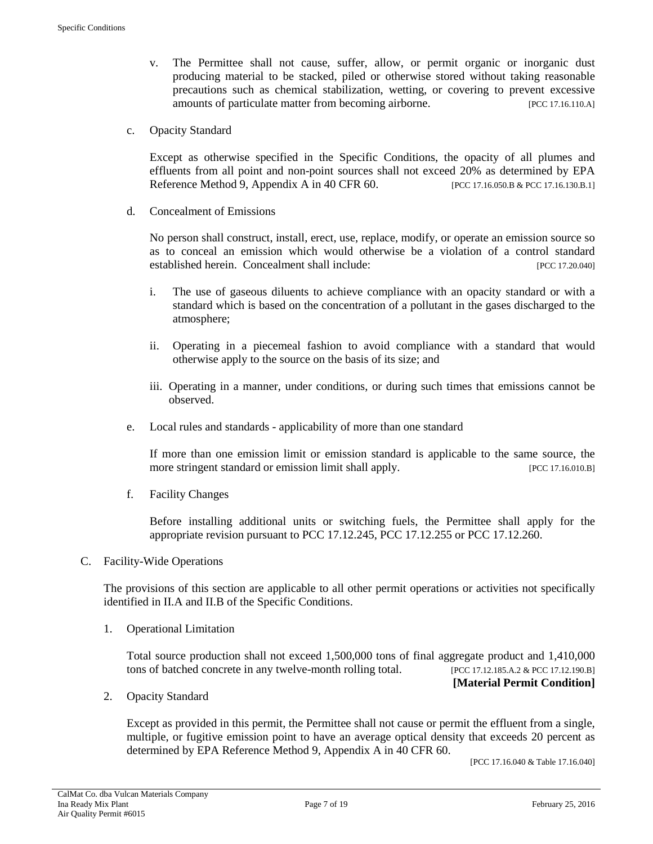- v. The Permittee shall not cause, suffer, allow, or permit organic or inorganic dust producing material to be stacked, piled or otherwise stored without taking reasonable precautions such as chemical stabilization, wetting, or covering to prevent excessive amounts of particulate matter from becoming airborne. [PCC 17.16.110.A]
- c. Opacity Standard

Except as otherwise specified in the Specific Conditions, the opacity of all plumes and effluents from all point and non-point sources shall not exceed 20% as determined by EPA Reference Method 9, Appendix A in 40 CFR 60. [PCC 17.16.050.B & PCC 17.16.130.B.1]

d. Concealment of Emissions

No person shall construct, install, erect, use, replace, modify, or operate an emission source so as to conceal an emission which would otherwise be a violation of a control standard established herein. Concealment shall include: [PCC 17.20.040]

- i. The use of gaseous diluents to achieve compliance with an opacity standard or with a standard which is based on the concentration of a pollutant in the gases discharged to the atmosphere;
- ii. Operating in a piecemeal fashion to avoid compliance with a standard that would otherwise apply to the source on the basis of its size; and
- iii. Operating in a manner, under conditions, or during such times that emissions cannot be observed.
- e. Local rules and standards applicability of more than one standard

If more than one emission limit or emission standard is applicable to the same source, the more stringent standard or emission limit shall apply. [PCC 17.16.010.B]

f. Facility Changes

Before installing additional units or switching fuels, the Permittee shall apply for the appropriate revision pursuant to PCC 17.12.245, PCC 17.12.255 or PCC 17.12.260.

#### C. Facility-Wide Operations

The provisions of this section are applicable to all other permit operations or activities not specifically identified in II.A and II.B of the Specific Conditions.

1. Operational Limitation

Total source production shall not exceed 1,500,000 tons of final aggregate product and 1,410,000 tons of batched concrete in any twelve-month rolling total. [PCC 17.12.185.A.2 & PCC 17.12.190.B]

#### **[Material Permit Condition]**

2. Opacity Standard

Except as provided in this permit, the Permittee shall not cause or permit the effluent from a single, multiple, or fugitive emission point to have an average optical density that exceeds 20 percent as determined by EPA Reference Method 9, Appendix A in 40 CFR 60.

[PCC 17.16.040 & Table 17.16.040]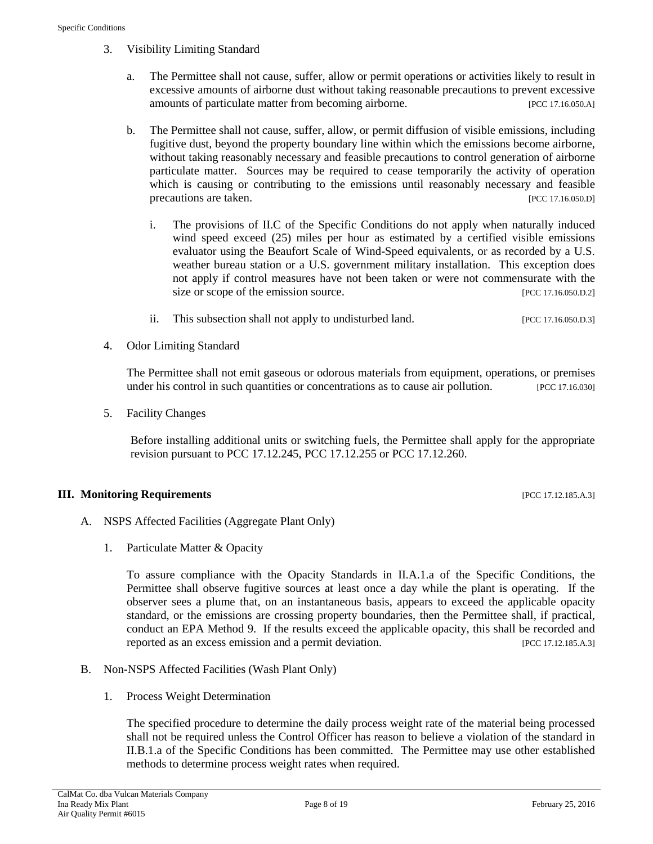- 3. Visibility Limiting Standard
	- a. The Permittee shall not cause, suffer, allow or permit operations or activities likely to result in excessive amounts of airborne dust without taking reasonable precautions to prevent excessive amounts of particulate matter from becoming airborne. [PCC 17.16.050.A]
	- b. The Permittee shall not cause, suffer, allow, or permit diffusion of visible emissions, including fugitive dust, beyond the property boundary line within which the emissions become airborne, without taking reasonably necessary and feasible precautions to control generation of airborne particulate matter. Sources may be required to cease temporarily the activity of operation which is causing or contributing to the emissions until reasonably necessary and feasible precautions are taken. [PCC 17.16.050.D]
		- i. The provisions of II.C of the Specific Conditions do not apply when naturally induced wind speed exceed (25) miles per hour as estimated by a certified visible emissions evaluator using the Beaufort Scale of Wind-Speed equivalents, or as recorded by a U.S. weather bureau station or a U.S. government military installation. This exception does not apply if control measures have not been taken or were not commensurate with the size or scope of the emission source. [PCC 17.16.050.D.2]
		- ii. This subsection shall not apply to undisturbed land. [PCC 17.16.050.D.3]
- 4. Odor Limiting Standard

The Permittee shall not emit gaseous or odorous materials from equipment, operations, or premises under his control in such quantities or concentrations as to cause air pollution. [PCC 17.16.030]

5. Facility Changes

Before installing additional units or switching fuels, the Permittee shall apply for the appropriate revision pursuant to PCC 17.12.245, PCC 17.12.255 or PCC 17.12.260.

#### <span id="page-7-0"></span>**III. Monitoring Requirements** [PCC 17.12.185.A.3]

- A. NSPS Affected Facilities (Aggregate Plant Only)
	- 1. Particulate Matter & Opacity

To assure compliance with the Opacity Standards in II.A.1.a of the Specific Conditions, the Permittee shall observe fugitive sources at least once a day while the plant is operating. If the observer sees a plume that, on an instantaneous basis, appears to exceed the applicable opacity standard, or the emissions are crossing property boundaries, then the Permittee shall, if practical, conduct an EPA Method 9. If the results exceed the applicable opacity, this shall be recorded and reported as an excess emission and a permit deviation. [PCC 17.12.185.A.3]

- B. Non-NSPS Affected Facilities (Wash Plant Only)
	- 1. Process Weight Determination

The specified procedure to determine the daily process weight rate of the material being processed shall not be required unless the Control Officer has reason to believe a violation of the standard in II.B.1.a of the Specific Conditions has been committed. The Permittee may use other established methods to determine process weight rates when required.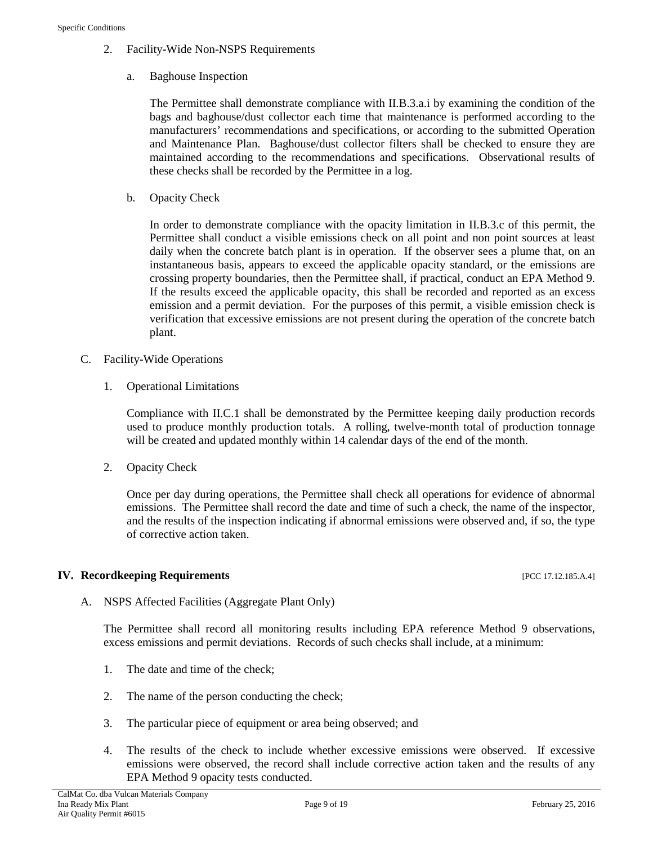- 2. Facility-Wide Non-NSPS Requirements
	- a. Baghouse Inspection

The Permittee shall demonstrate compliance with II.B.3.a.i by examining the condition of the bags and baghouse/dust collector each time that maintenance is performed according to the manufacturers' recommendations and specifications, or according to the submitted Operation and Maintenance Plan. Baghouse/dust collector filters shall be checked to ensure they are maintained according to the recommendations and specifications. Observational results of these checks shall be recorded by the Permittee in a log.

b. Opacity Check

In order to demonstrate compliance with the opacity limitation in II.B.3.c of this permit, the Permittee shall conduct a visible emissions check on all point and non point sources at least daily when the concrete batch plant is in operation. If the observer sees a plume that, on an instantaneous basis, appears to exceed the applicable opacity standard, or the emissions are crossing property boundaries, then the Permittee shall, if practical, conduct an EPA Method 9. If the results exceed the applicable opacity, this shall be recorded and reported as an excess emission and a permit deviation. For the purposes of this permit, a visible emission check is verification that excessive emissions are not present during the operation of the concrete batch plant.

- C. Facility-Wide Operations
	- 1. Operational Limitations

Compliance with II.C.1 shall be demonstrated by the Permittee keeping daily production records used to produce monthly production totals. A rolling, twelve-month total of production tonnage will be created and updated monthly within 14 calendar days of the end of the month.

2. Opacity Check

Once per day during operations, the Permittee shall check all operations for evidence of abnormal emissions. The Permittee shall record the date and time of such a check, the name of the inspector, and the results of the inspection indicating if abnormal emissions were observed and, if so, the type of corrective action taken.

# <span id="page-8-0"></span>**IV. Recordkeeping Requirements** [PCC 17.12.185.A.4]

A. NSPS Affected Facilities (Aggregate Plant Only)

The Permittee shall record all monitoring results including EPA reference Method 9 observations, excess emissions and permit deviations. Records of such checks shall include, at a minimum:

- 1. The date and time of the check;
- 2. The name of the person conducting the check;
- 3. The particular piece of equipment or area being observed; and
- 4. The results of the check to include whether excessive emissions were observed. If excessive emissions were observed, the record shall include corrective action taken and the results of any EPA Method 9 opacity tests conducted.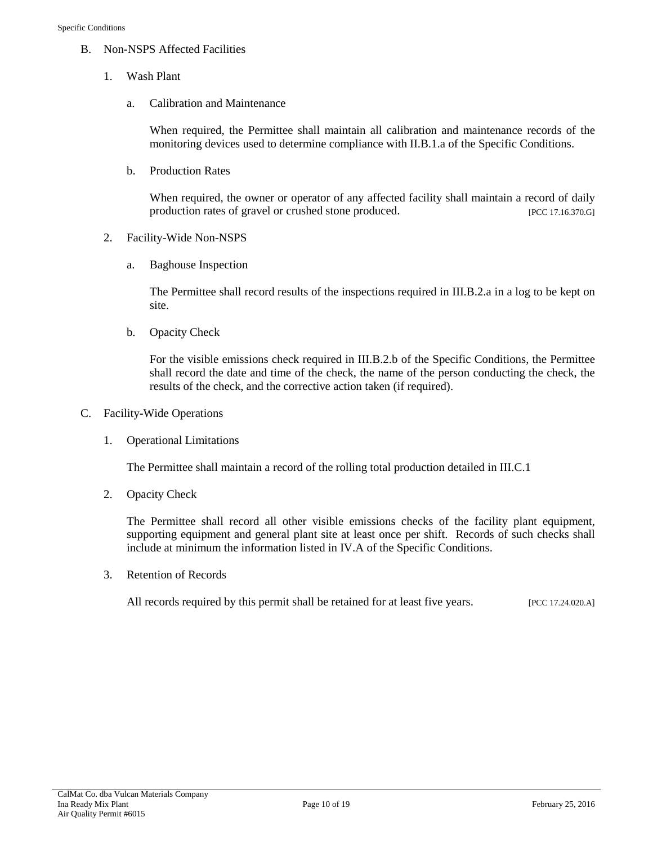- B. Non-NSPS Affected Facilities
	- 1. Wash Plant
		- a. Calibration and Maintenance

When required, the Permittee shall maintain all calibration and maintenance records of the monitoring devices used to determine compliance with II.B.1.a of the Specific Conditions.

b. Production Rates

When required, the owner or operator of any affected facility shall maintain a record of daily production rates of gravel or crushed stone produced. [PCC 17.16.370.G]

- 2. Facility-Wide Non-NSPS
	- a. Baghouse Inspection

The Permittee shall record results of the inspections required in III.B.2.a in a log to be kept on site.

b. Opacity Check

For the visible emissions check required in III.B.2.b of the Specific Conditions, the Permittee shall record the date and time of the check, the name of the person conducting the check, the results of the check, and the corrective action taken (if required).

- C. Facility-Wide Operations
	- 1. Operational Limitations

The Permittee shall maintain a record of the rolling total production detailed in III.C.1

2. Opacity Check

The Permittee shall record all other visible emissions checks of the facility plant equipment, supporting equipment and general plant site at least once per shift. Records of such checks shall include at minimum the information listed in IV.A of the Specific Conditions.

3. Retention of Records

All records required by this permit shall be retained for at least five years. [PCC 17.24.020.A]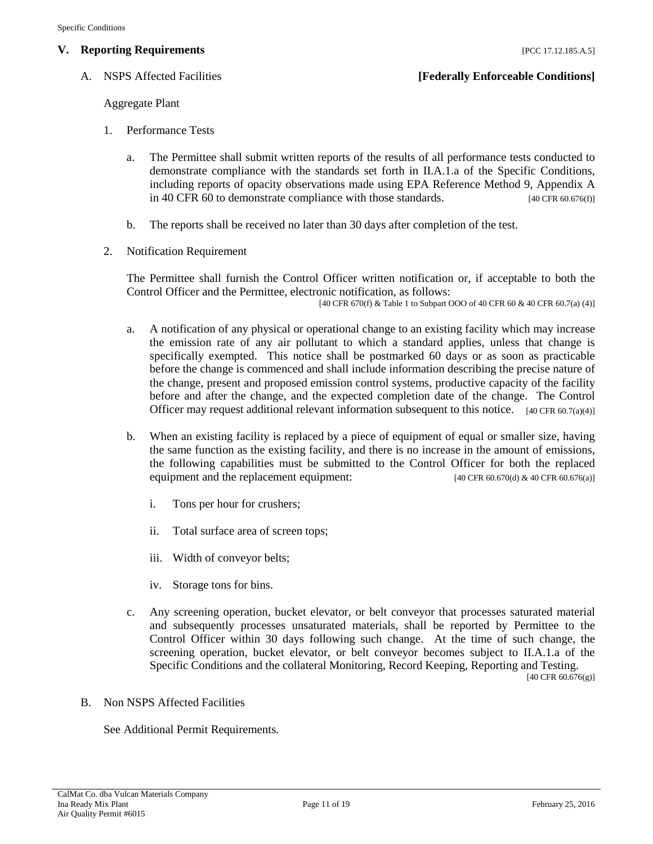# <span id="page-10-0"></span>**V. Reporting Requirements Exercise 2.12.185.A.5 [PCC 17.12.185.A.5]**

### A. NSPS Affected Facilities **[Federally Enforceable Conditions]**

Aggregate Plant

- 1. Performance Tests
	- a. The Permittee shall submit written reports of the results of all performance tests conducted to demonstrate compliance with the standards set forth in II.A.1.a of the Specific Conditions, including reports of opacity observations made using EPA Reference Method 9, Appendix A in 40 CFR 60 to demonstrate compliance with those standards. [40 CFR 60.676(f)]
	- b. The reports shall be received no later than 30 days after completion of the test.
- 2. Notification Requirement

The Permittee shall furnish the Control Officer written notification or, if acceptable to both the Control Officer and the Permittee, electronic notification, as follows:

[40 CFR 670(f) & Table 1 to Subpart OOO of 40 CFR 60 & 40 CFR 60.7(a) (4)]

- a. A notification of any physical or operational change to an existing facility which may increase the emission rate of any air pollutant to which a standard applies, unless that change is specifically exempted. This notice shall be postmarked 60 days or as soon as practicable before the change is commenced and shall include information describing the precise nature of the change, present and proposed emission control systems, productive capacity of the facility before and after the change, and the expected completion date of the change. The Control Officer may request additional relevant information subsequent to this notice. [40 CFR 60.7(a)(4)]
- b. When an existing facility is replaced by a piece of equipment of equal or smaller size, having the same function as the existing facility, and there is no increase in the amount of emissions, the following capabilities must be submitted to the Control Officer for both the replaced equipment and the replacement equipment:  $[40 \text{ CFR } 60.670 \text{ (d)} \& 40 \text{ CFR } 60.676 \text{ (a)}]$ 
	- i. Tons per hour for crushers;
	- ii. Total surface area of screen tops;
	- iii. Width of conveyor belts;
	- iv. Storage tons for bins.
- c. Any screening operation, bucket elevator, or belt conveyor that processes saturated material and subsequently processes unsaturated materials, shall be reported by Permittee to the Control Officer within 30 days following such change. At the time of such change, the screening operation, bucket elevator, or belt conveyor becomes subject to II.A.1.a of the Specific Conditions and the collateral Monitoring, Record Keeping, Reporting and Testing. [40 CFR 60.676(g)]
- B. Non NSPS Affected Facilities

See Additional Permit Requirements.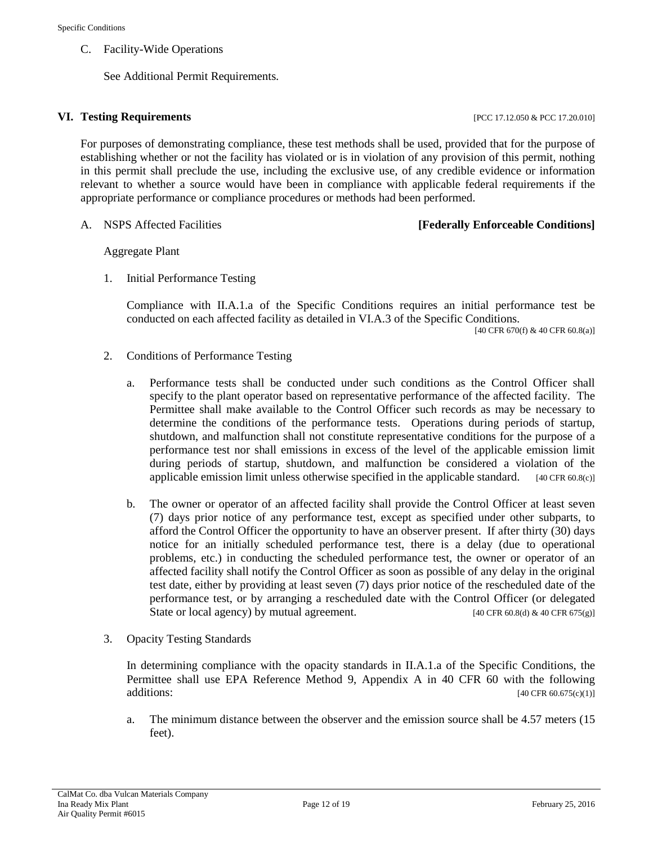#### C. Facility-Wide Operations

See Additional Permit Requirements.

#### <span id="page-11-0"></span>**VI. Testing Requirements** [PCC 17.12.050 & PCC 17.20.010]

For purposes of demonstrating compliance, these test methods shall be used, provided that for the purpose of establishing whether or not the facility has violated or is in violation of any provision of this permit, nothing in this permit shall preclude the use, including the exclusive use, of any credible evidence or information relevant to whether a source would have been in compliance with applicable federal requirements if the appropriate performance or compliance procedures or methods had been performed.

### A. NSPS Affected Facilities **[Federally Enforceable Conditions]**

#### Aggregate Plant

1. Initial Performance Testing

Compliance with II.A.1.a of the Specific Conditions requires an initial performance test be conducted on each affected facility as detailed in VI.A.3 of the Specific Conditions.

[40 CFR 670(f) & 40 CFR 60.8(a)]

- 2. Conditions of Performance Testing
	- a. Performance tests shall be conducted under such conditions as the Control Officer shall specify to the plant operator based on representative performance of the affected facility. The Permittee shall make available to the Control Officer such records as may be necessary to determine the conditions of the performance tests. Operations during periods of startup, shutdown, and malfunction shall not constitute representative conditions for the purpose of a performance test nor shall emissions in excess of the level of the applicable emission limit during periods of startup, shutdown, and malfunction be considered a violation of the applicable emission limit unless otherwise specified in the applicable standard.  $[40 \text{ CFR } 60.8(c)]$
	- b. The owner or operator of an affected facility shall provide the Control Officer at least seven (7) days prior notice of any performance test, except as specified under other subparts, to afford the Control Officer the opportunity to have an observer present. If after thirty (30) days notice for an initially scheduled performance test, there is a delay (due to operational problems, etc.) in conducting the scheduled performance test, the owner or operator of an affected facility shall notify the Control Officer as soon as possible of any delay in the original test date, either by providing at least seven (7) days prior notice of the rescheduled date of the performance test, or by arranging a rescheduled date with the Control Officer (or delegated State or local agency) by mutual agreement. [40 CFR 60.8(d) & 40 CFR 675(g)]
- 3. Opacity Testing Standards

In determining compliance with the opacity standards in II.A.1.a of the Specific Conditions, the Permittee shall use EPA Reference Method 9, Appendix A in 40 CFR 60 with the following  $[40 \text{ CFR } 60.675 \text{ (c)}(1)]$ 

a. The minimum distance between the observer and the emission source shall be 4.57 meters (15 feet).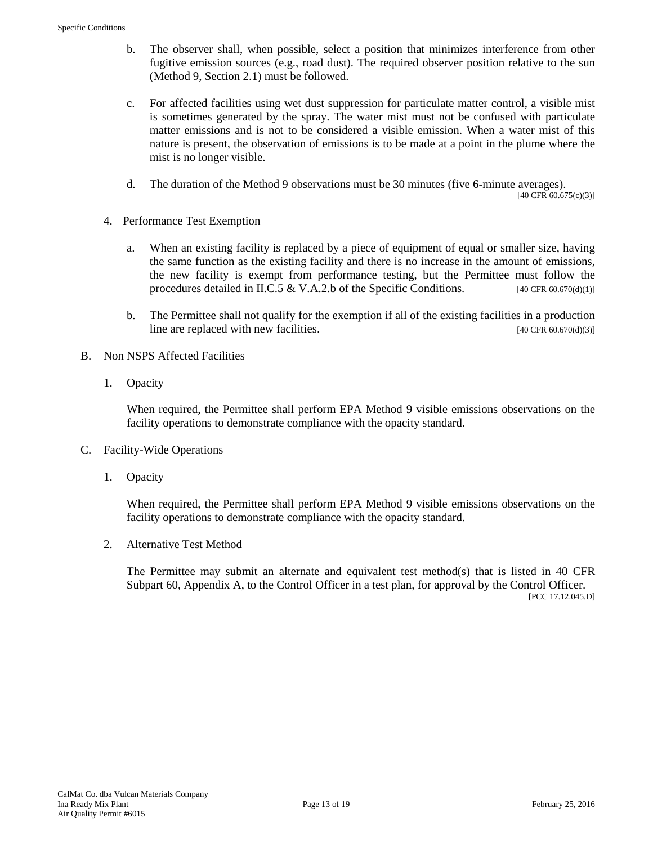- b. The observer shall, when possible, select a position that minimizes interference from other fugitive emission sources (e.g., road dust). The required observer position relative to the sun (Method 9, Section 2.1) must be followed.
- c. For affected facilities using wet dust suppression for particulate matter control, a visible mist is sometimes generated by the spray. The water mist must not be confused with particulate matter emissions and is not to be considered a visible emission. When a water mist of this nature is present, the observation of emissions is to be made at a point in the plume where the mist is no longer visible.
- d. The duration of the Method 9 observations must be 30 minutes (five 6-minute averages).

[40 CFR 60.675(c)(3)]

- 4. Performance Test Exemption
	- a. When an existing facility is replaced by a piece of equipment of equal or smaller size, having the same function as the existing facility and there is no increase in the amount of emissions, the new facility is exempt from performance testing, but the Permittee must follow the procedures detailed in II.C.5 & V.A.2.b of the Specific Conditions. [40 CFR 60.670(d)(1)]
	- b. The Permittee shall not qualify for the exemption if all of the existing facilities in a production line are replaced with new facilities. [40 CFR 60.670(d)(3)]
- B. Non NSPS Affected Facilities
	- 1. Opacity

When required, the Permittee shall perform EPA Method 9 visible emissions observations on the facility operations to demonstrate compliance with the opacity standard.

- C. Facility-Wide Operations
	- 1. Opacity

When required, the Permittee shall perform EPA Method 9 visible emissions observations on the facility operations to demonstrate compliance with the opacity standard.

2. Alternative Test Method

The Permittee may submit an alternate and equivalent test method(s) that is listed in 40 CFR Subpart 60, Appendix A, to the Control Officer in a test plan, for approval by the Control Officer. [PCC 17.12.045.D]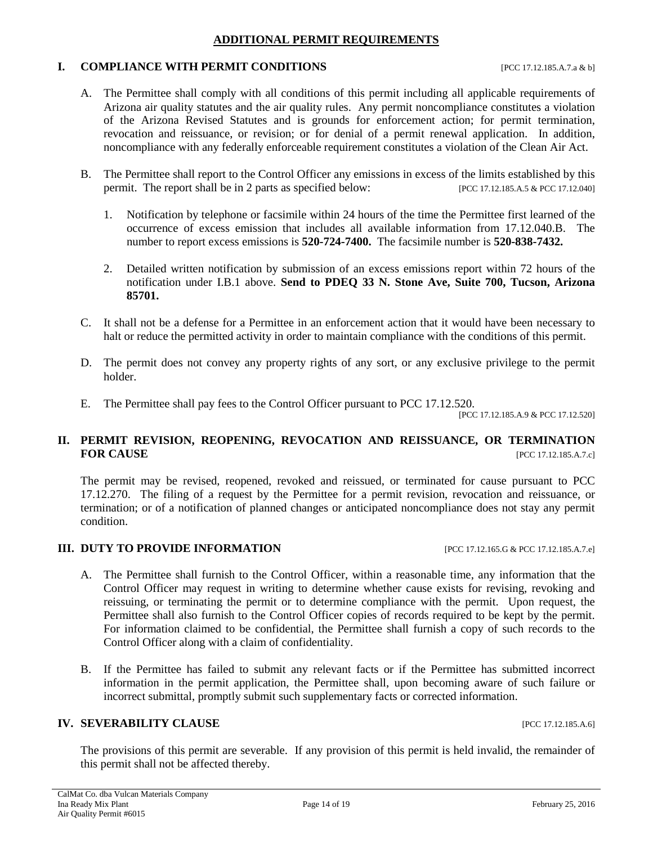### **ADDITIONAL PERMIT REQUIREMENTS**

#### <span id="page-13-0"></span>**I. COMPLIANCE WITH PERMIT CONDITIONS** [PCC 17.12.185.A.7.a & b]

- A. The Permittee shall comply with all conditions of this permit including all applicable requirements of Arizona air quality statutes and the air quality rules. Any permit noncompliance constitutes a violation of the Arizona Revised Statutes and is grounds for enforcement action; for permit termination, revocation and reissuance, or revision; or for denial of a permit renewal application. In addition, noncompliance with any federally enforceable requirement constitutes a violation of the Clean Air Act.
- B. The Permittee shall report to the Control Officer any emissions in excess of the limits established by this permit. The report shall be in 2 parts as specified below: [PCC 17.12.185.A.5 & PCC 17.12.040]
	- 1. Notification by telephone or facsimile within 24 hours of the time the Permittee first learned of the occurrence of excess emission that includes all available information from 17.12.040.B. The number to report excess emissions is **520-724-7400.** The facsimile number is **520-838-7432.**
	- 2. Detailed written notification by submission of an excess emissions report within 72 hours of the notification under I.B.1 above. **Send to PDEQ 33 N. Stone Ave, Suite 700, Tucson, Arizona 85701.**
- C. It shall not be a defense for a Permittee in an enforcement action that it would have been necessary to halt or reduce the permitted activity in order to maintain compliance with the conditions of this permit.
- D. The permit does not convey any property rights of any sort, or any exclusive privilege to the permit holder.
- E. The Permittee shall pay fees to the Control Officer pursuant to PCC 17.12.520.

[PCC 17.12.185.A.9 & PCC 17.12.520]

# **II. PERMIT REVISION, REOPENING, REVOCATION AND REISSUANCE, OR TERMINATION FOR CAUSE [PCC 17.12.185.A.7.c]**

The permit may be revised, reopened, revoked and reissued, or terminated for cause pursuant to PCC 17.12.270. The filing of a request by the Permittee for a permit revision, revocation and reissuance, or termination; or of a notification of planned changes or anticipated noncompliance does not stay any permit condition.

### **III. DUTY TO PROVIDE INFORMATION** [PCC 17.12.165.G & PCC 17.12.185.A.7.e]

- A. The Permittee shall furnish to the Control Officer, within a reasonable time, any information that the Control Officer may request in writing to determine whether cause exists for revising, revoking and reissuing, or terminating the permit or to determine compliance with the permit. Upon request, the Permittee shall also furnish to the Control Officer copies of records required to be kept by the permit. For information claimed to be confidential, the Permittee shall furnish a copy of such records to the Control Officer along with a claim of confidentiality.
- B. If the Permittee has failed to submit any relevant facts or if the Permittee has submitted incorrect information in the permit application, the Permittee shall, upon becoming aware of such failure or incorrect submittal, promptly submit such supplementary facts or corrected information.

### **IV. SEVERABILITY CLAUSE INCLUSE INCLUSE INCLUSION IPCC** 17.12.185.A.6]

The provisions of this permit are severable. If any provision of this permit is held invalid, the remainder of this permit shall not be affected thereby.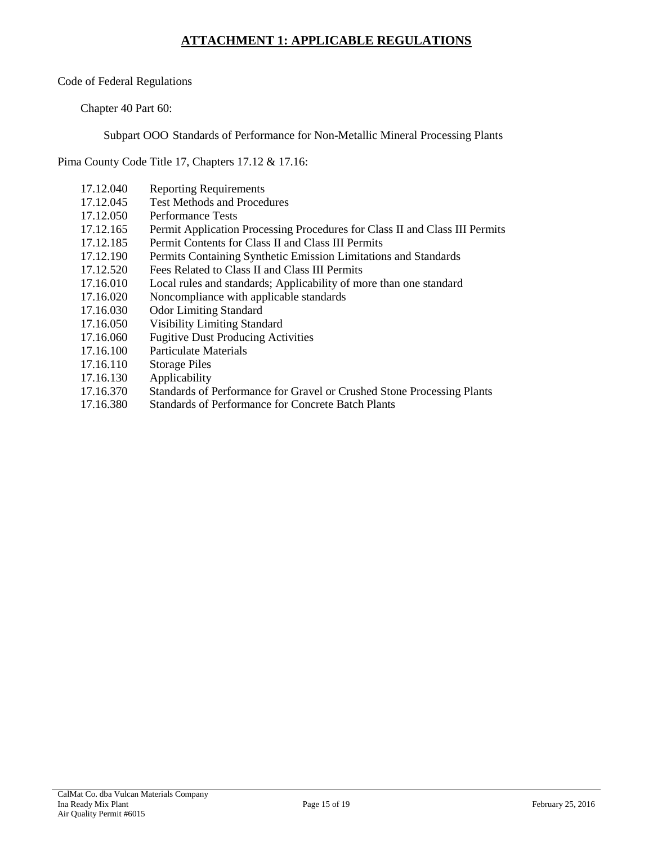# **ATTACHMENT 1: APPLICABLE REGULATIONS**

<span id="page-14-0"></span>Code of Federal Regulations

Chapter 40 Part 60:

Subpart OOO Standards of Performance for Non-Metallic Mineral Processing Plants

Pima County Code Title 17, Chapters 17.12 & 17.16:

- 17.12.040 Reporting Requirements
- 17.12.045 Test Methods and Procedures
- 17.12.050 Performance Tests
- 17.12.165 Permit Application Processing Procedures for Class II and Class III Permits
- 17.12.185 Permit Contents for Class II and Class III Permits
- 17.12.190 Permits Containing Synthetic Emission Limitations and Standards<br>17.12.520 Fees Related to Class II and Class III Permits
- Fees Related to Class II and Class III Permits
- 17.16.010 Local rules and standards; Applicability of more than one standard
- 17.16.020 Noncompliance with applicable standards
- 17.16.030 Odor Limiting Standard
- 17.16.050 Visibility Limiting Standard
- 17.16.060 Fugitive Dust Producing Activities
- 17.16.100 Particulate Materials
- 17.16.110 Storage Piles
- 17.16.130 Applicability
- 17.16.370 Standards of Performance for Gravel or Crushed Stone Processing Plants
- 17.16.380 Standards of Performance for Concrete Batch Plants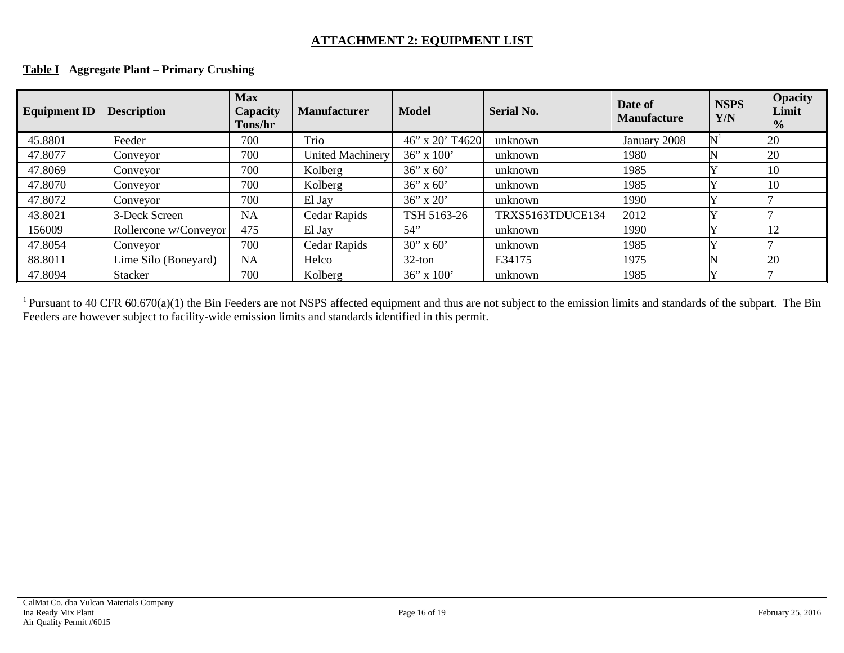# **ATTACHMENT 2: EQUIPMENT LIST**

| <b>Equipment ID</b> | <b>Description</b>    | <b>Max</b><br>Capacity<br><b>Tons/hr</b> | <b>Manufacturer</b>     | <b>Model</b>    | <b>Serial No.</b> | Date of<br><b>Manufacture</b> | <b>NSPS</b><br>Y/N |    |
|---------------------|-----------------------|------------------------------------------|-------------------------|-----------------|-------------------|-------------------------------|--------------------|----|
| 45.8801             | Feeder                | 700                                      | Trio                    | 46" x 20' T4620 | unknown           | January 2008                  |                    | 20 |
| 47.8077             | Conveyor              | 700                                      | <b>United Machinery</b> | $36''$ x $100'$ | unknown           | 1980                          |                    | 20 |
| 47.8069             | Conveyor              | 700                                      | Kolberg                 | $36''$ x 60'    | unknown           | 1985                          |                    | 10 |
| 47.8070             | Conveyor              | 700                                      | Kolberg                 | $36''$ x 60'    | unknown           | 1985                          |                    | 10 |
| 47.8072             | Conveyor              | 700                                      | El Jay                  | $36''$ x 20'    | unknown           | 1990                          |                    |    |
| 43.8021             | 3-Deck Screen         | <b>NA</b>                                | Cedar Rapids            | TSH 5163-26     | TRXS5163TDUCE134  | 2012                          |                    |    |
| 156009              | Rollercone w/Conveyor | 475                                      | El Jay                  | 54"             | unknown           | 1990                          |                    | 12 |
| 47.8054             | Conveyor              | 700                                      | Cedar Rapids            | $30''$ x 60'    | unknown           | 1985                          |                    |    |
| 88.8011             | Lime Silo (Boneyard)  | NA                                       | Helco                   | $32$ -ton       | E34175            | 1975                          |                    | 20 |
| 47.8094             | <b>Stacker</b>        | 700                                      | Kolberg                 | $36''$ x $100'$ | unknown           | 1985                          |                    |    |

### **Table I Aggregate Plant – Primary Crushing**

<span id="page-15-0"></span><sup>1</sup> Pursuant to 40 CFR 60.670(a)(1) the Bin Feeders are not NSPS affected equipment and thus are not subject to the emission limits and standards of the subpart. The Bin Feeders are however subject to facility-wide emission limits and standards identified in this permit.

**Opacity Limit %**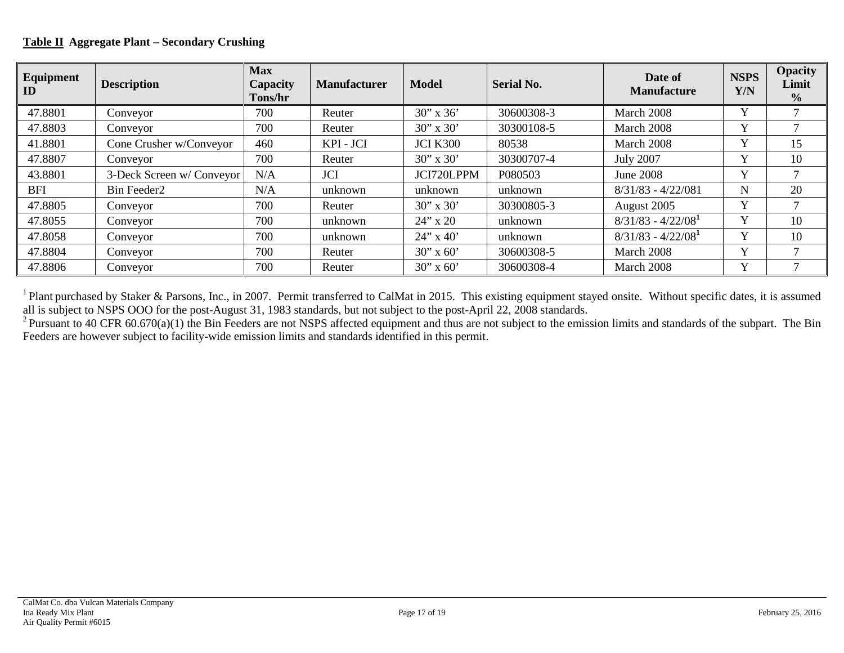# **Table II Aggregate Plant – Secondary Crushing**

| Equipment<br>ID | <b>Description</b>       | <b>Max</b><br>Capacity<br>Tons/hr | <b>Manufacturer</b> | <b>Model</b>      | <b>Serial No.</b> | Date of<br><b>Manufacture</b> | <b>NSPS</b><br>Y/N | <b>Opacity</b><br>Limit<br>$\frac{0}{0}$ |
|-----------------|--------------------------|-----------------------------------|---------------------|-------------------|-------------------|-------------------------------|--------------------|------------------------------------------|
| 47.8801         | Conveyor                 | 700                               | Reuter              | $30''$ x 36'      | 30600308-3        | March 2008                    | $\mathbf{v}$       |                                          |
| 47.8803         | Conveyor                 | 700                               | Reuter              | $30''$ x $30'$    | 30300108-5        | March 2008                    |                    |                                          |
| 41.8801         | Cone Crusher w/Conveyor  | 460                               | KPI - JCI           | <b>JCI K300</b>   | 80538             | March 2008                    | $\mathbf v$        | 15                                       |
| 47.8807         | Conveyor                 | 700                               | Reuter              | $30'' \times 30'$ | 30300707-4        | <b>July 2007</b>              | $\mathbf{v}$       | 10                                       |
| 43.8801         | 3-Deck Screen w/Conveyor | N/A                               | <b>JCI</b>          | JCI720LPPM        | P080503           | June 2008                     | $\mathbf{v}$       |                                          |
| <b>BFI</b>      | Bin Feeder2              | N/A                               | unknown             | unknown           | unknown           | $8/31/83 - 4/22/081$          | $\mathbf N$        | 20                                       |
| 47.8805         | Conveyor                 | 700                               | Reuter              | $30''$ x $30'$    | 30300805-3        | August 2005                   | $\mathbf v$        |                                          |
| 47.8055         | Conveyor                 | 700                               | unknown             | $24''$ x 20       | unknown           | $8/31/83 - 4/22/081$          | $\mathbf{v}$       | 10                                       |
| 47.8058         | Conveyor                 | 700                               | unknown             | $24$ " x 40'      | unknown           | $8/31/83 - 4/22/081$          | $\mathbf{v}$       | 10                                       |
| 47.8804         | Conveyor                 | 700                               | Reuter              | $30''$ x 60'      | 30600308-5        | March 2008                    | $\mathbf{v}$       |                                          |
| 47.8806         | Conveyor                 | 700                               | Reuter              | $30''$ x 60'      | 30600308-4        | March 2008                    | $\mathbf v$        |                                          |

<sup>1</sup> Plant purchased by Staker & Parsons, Inc., in 2007. Permit transferred to CalMat in 2015. This existing equipment stayed onsite. Without specific dates, it is assumed all is subject to NSPS OOO for the post-August 31, 1983 standards, but not subject to the post-April 22, 2008 standards.

<sup>2</sup> Pursuant to 40 CFR 60.670(a)(1) the Bin Feeders are not NSPS affected equipment and thus are not subject to the emission limits and standards of the subpart. The Bin Feeders are however subject to facility-wide emission limits and standards identified in this permit.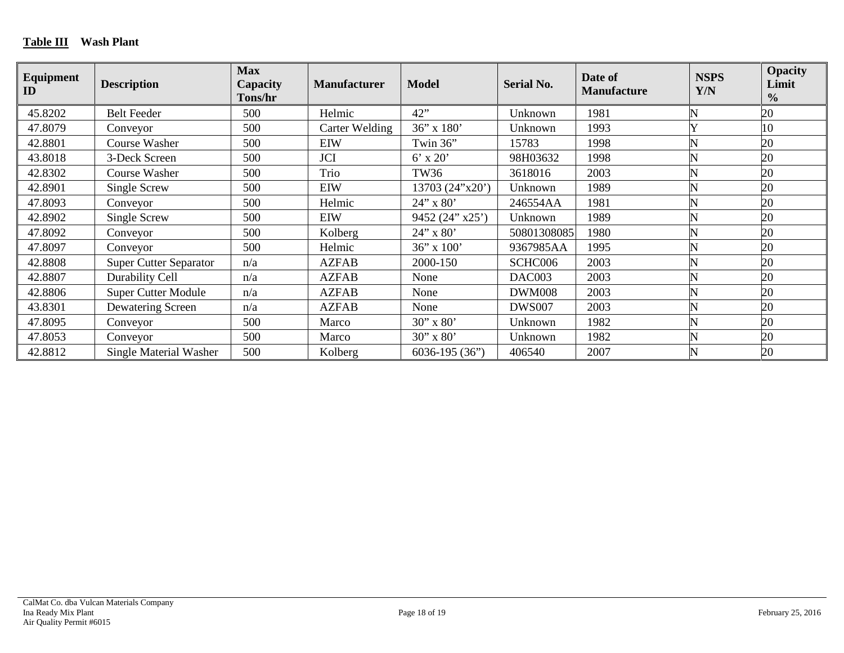| Equipment<br>ID | <b>Description</b>            | <b>Max</b><br><b>Capacity</b><br><b>Tons/hr</b> | <b>Manufacturer</b>   | <b>Model</b>      | <b>Serial No.</b> | Date of<br><b>Manufacture</b> | <b>NSPS</b><br>Y/N | <b>Opacity</b><br>Limit<br>$\frac{0}{0}$ |
|-----------------|-------------------------------|-------------------------------------------------|-----------------------|-------------------|-------------------|-------------------------------|--------------------|------------------------------------------|
| 45.8202         | <b>Belt Feeder</b>            | 500                                             | Helmic                | 42"               | Unknown           | 1981                          |                    | 20                                       |
| 47.8079         | Conveyor                      | 500                                             | <b>Carter Welding</b> | 36" x 180"        | Unknown           | 1993                          |                    | 10                                       |
| 42.8801         | Course Washer                 | 500                                             | EIW                   | Twin 36"          | 15783             | 1998                          |                    | 20                                       |
| 43.8018         | 3-Deck Screen                 | 500                                             | <b>JCI</b>            | $6'$ x $20'$      | 98H03632          | 1998                          | N                  | 20                                       |
| 42.8302         | Course Washer                 | 500                                             | Trio                  | <b>TW36</b>       | 3618016           | 2003                          |                    | 20                                       |
| 42.8901         | Single Screw                  | 500                                             | <b>EIW</b>            | 13703 (24"x20")   | Unknown           | 1989                          |                    | 20                                       |
| 47.8093         | Conveyor                      | 500                                             | Helmic                | 24" x 80'         | 246554AA          | 1981                          | N                  | 20                                       |
| 42.8902         | Single Screw                  | 500                                             | <b>EIW</b>            | 9452 (24" x25")   | Unknown           | 1989                          |                    | 20                                       |
| 47.8092         | Conveyor                      | 500                                             | Kolberg               | 24" x 80'         | 50801308085       | 1980                          |                    | 20                                       |
| 47.8097         | Conveyor                      | 500                                             | Helmic                | $36$ " x $100$ "  | 9367985AA         | 1995                          |                    | 20                                       |
| 42.8808         | <b>Super Cutter Separator</b> | n/a                                             | <b>AZFAB</b>          | 2000-150          | SCHC006           | 2003                          | N                  | 20                                       |
| 42.8807         | Durability Cell               | n/a                                             | <b>AZFAB</b>          | None              | DAC003            | 2003                          | N                  | 20                                       |
| 42.8806         | <b>Super Cutter Module</b>    | n/a                                             | <b>AZFAB</b>          | None              | <b>DWM008</b>     | 2003                          |                    | 20                                       |
| 43.8301         | Dewatering Screen             | n/a                                             | <b>AZFAB</b>          | None              | <b>DWS007</b>     | 2003                          |                    | 20                                       |
| 47.8095         | Conveyor                      | 500                                             | Marco                 | 30" x 80'         | Unknown           | 1982                          |                    | 20                                       |
| 47.8053         | Conveyor                      | 500                                             | Marco                 | 30" x 80'         | Unknown           | 1982                          |                    | 20                                       |
| 42.8812         | <b>Single Material Washer</b> | 500                                             | Kolberg               | $6036 - 195(36")$ | 406540            | 2007                          | N                  | 20                                       |